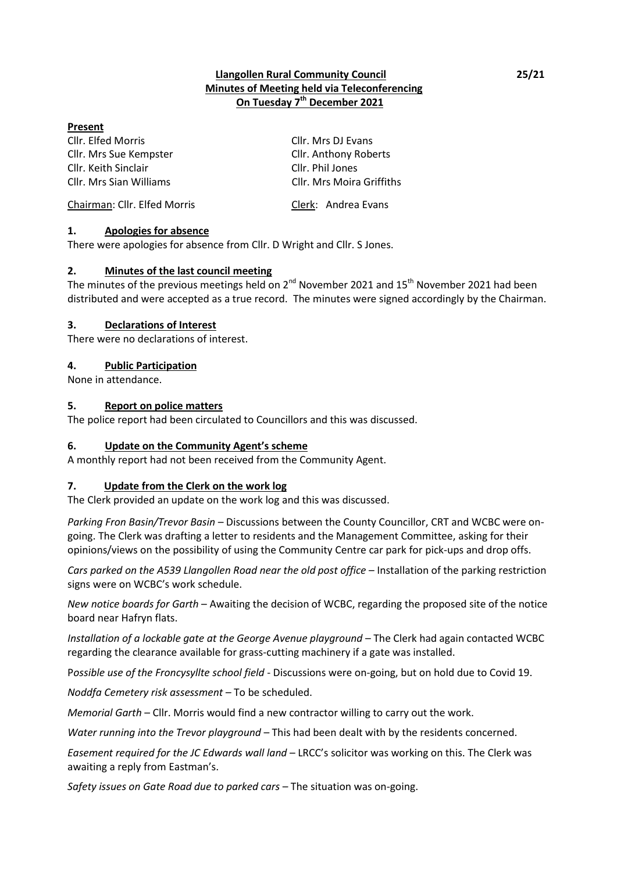## **Llangollen Rural Community Council 25/21 Minutes of Meeting held via Teleconferencing On Tuesday 7 th December 2021**

#### **Present**

Cllr. Elfed Morris Cllr. Mrs DJ Evans Cllr. Mrs Sue Kempster Cllr. Anthony Roberts Cllr. Keith Sinclair Cllr. Phil Jones

Cllr. Mrs Sian Williams Cllr. Mrs Moira Griffiths

#### Chairman: Cllr. Elfed Morris Clerk: Andrea Evans

## **1. Apologies for absence**

There were apologies for absence from Cllr. D Wright and Cllr. S Jones.

#### **2. Minutes of the last council meeting**

The minutes of the previous meetings held on 2<sup>nd</sup> November 2021 and 15<sup>th</sup> November 2021 had been distributed and were accepted as a true record. The minutes were signed accordingly by the Chairman.

#### **3. Declarations of Interest**

There were no declarations of interest.

#### **4. Public Participation**

None in attendance.

#### **5. Report on police matters**

The police report had been circulated to Councillors and this was discussed.

## **6. Update on the Community Agent's scheme**

A monthly report had not been received from the Community Agent.

## **7. Update from the Clerk on the work log**

The Clerk provided an update on the work log and this was discussed.

*Parking Fron Basin/Trevor Basin* – Discussions between the County Councillor, CRT and WCBC were ongoing. The Clerk was drafting a letter to residents and the Management Committee, asking for their opinions/views on the possibility of using the Community Centre car park for pick-ups and drop offs.

*Cars parked on the A539 Llangollen Road near the old post office* – Installation of the parking restriction signs were on WCBC's work schedule.

*New notice boards for Garth* – Awaiting the decision of WCBC, regarding the proposed site of the notice board near Hafryn flats.

*Installation of a lockable gate at the George Avenue playground* – The Clerk had again contacted WCBC regarding the clearance available for grass-cutting machinery if a gate was installed.

P*ossible use of the Froncysyllte school field* - Discussions were on-going, but on hold due to Covid 19.

*Noddfa Cemetery risk assessment –* To be scheduled.

*Memorial Garth* – Cllr. Morris would find a new contractor willing to carry out the work.

*Water running into the Trevor playground* – This had been dealt with by the residents concerned.

*Easement required for the JC Edwards wall land* – LRCC's solicitor was working on this. The Clerk was awaiting a reply from Eastman's.

*Safety issues on Gate Road due to parked cars* – The situation was on-going.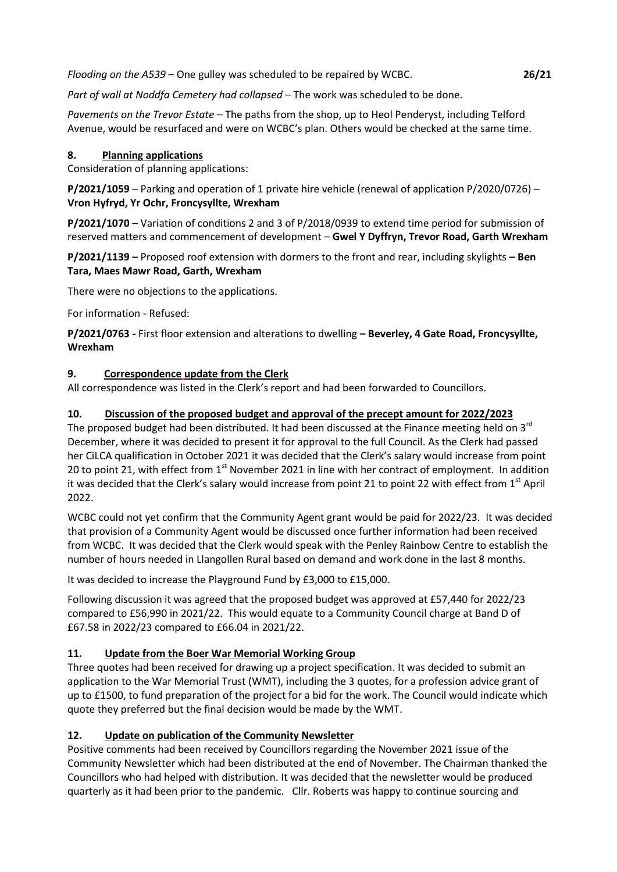*Flooding on the A539* – One gulley was scheduled to be repaired by WCBC. **26/21**

*Part of wall at Noddfa Cemetery had collapsed* – The work was scheduled to be done.

*Pavements on the Trevor Estate* – The paths from the shop, up to Heol Penderyst, including Telford Avenue, would be resurfaced and were on WCBC's plan. Others would be checked at the same time.

## **8. Planning applications**

Consideration of planning applications:

**P/2021/1059** – Parking and operation of 1 private hire vehicle (renewal of application P/2020/0726) – **Vron Hyfryd, Yr Ochr, Froncysyllte, Wrexham**

**P/2021/1070** – Variation of conditions 2 and 3 of P/2018/0939 to extend time period for submission of reserved matters and commencement of development – **Gwel Y Dyffryn, Trevor Road, Garth Wrexham**

**P/2021/1139 –** Proposed roof extension with dormers to the front and rear, including skylights **– Ben Tara, Maes Mawr Road, Garth, Wrexham**

There were no objections to the applications.

For information - Refused:

**P/2021/0763 -** First floor extension and alterations to dwelling **– Beverley, 4 Gate Road, Froncysyllte, Wrexham**

#### **9. Correspondence update from the Clerk**

All correspondence was listed in the Clerk's report and had been forwarded to Councillors.

## **10. Discussion of the proposed budget and approval of the precept amount for 2022/2023**

The proposed budget had been distributed. It had been discussed at the Finance meeting held on 3<sup>rd</sup> December, where it was decided to present it for approval to the full Council. As the Clerk had passed her CiLCA qualification in October 2021 it was decided that the Clerk's salary would increase from point 20 to point 21, with effect from  $1<sup>st</sup>$  November 2021 in line with her contract of employment. In addition it was decided that the Clerk's salary would increase from point 21 to point 22 with effect from 1<sup>st</sup> April 2022.

WCBC could not yet confirm that the Community Agent grant would be paid for 2022/23. It was decided that provision of a Community Agent would be discussed once further information had been received from WCBC. It was decided that the Clerk would speak with the Penley Rainbow Centre to establish the number of hours needed in Llangollen Rural based on demand and work done in the last 8 months.

It was decided to increase the Playground Fund by £3,000 to £15,000.

Following discussion it was agreed that the proposed budget was approved at £57,440 for 2022/23 compared to £56,990 in 2021/22. This would equate to a Community Council charge at Band D of £67.58 in 2022/23 compared to £66.04 in 2021/22.

## **11. Update from the Boer War Memorial Working Group**

Three quotes had been received for drawing up a project specification. It was decided to submit an application to the War Memorial Trust (WMT), including the 3 quotes, for a profession advice grant of up to £1500, to fund preparation of the project for a bid for the work. The Council would indicate which quote they preferred but the final decision would be made by the WMT.

## **12. Update on publication of the Community Newsletter**

Positive comments had been received by Councillors regarding the November 2021 issue of the Community Newsletter which had been distributed at the end of November. The Chairman thanked the Councillors who had helped with distribution. It was decided that the newsletter would be produced quarterly as it had been prior to the pandemic. Cllr. Roberts was happy to continue sourcing and